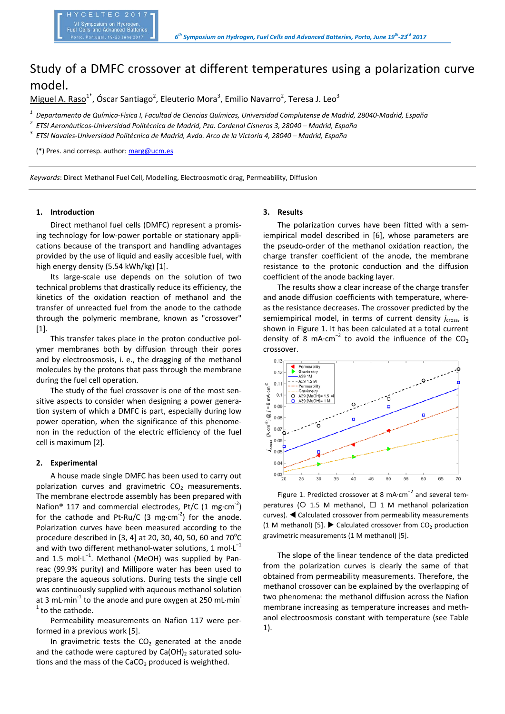# Study of a DMFC crossover at different temperatures using a polarization curve model.

Miguel A. Raso<sup>1\*</sup>, Óscar Santiago<sup>2</sup>, Eleuterio Mora<sup>3</sup>, Emilio Navarro<sup>2</sup>, Teresa J. Leo<sup>3</sup>

*<sup>1</sup> Departamento de Química‐Física I, Facultad de Ciencias Químicas, Universidad Complutense de Madrid, 28040‐Madrid, España* 

*2 ETSI Aeronáuticos‐Universidad Politécnica de Madrid, Pza. Cardenal Cisneros 3, 28040 – Madrid, España* 

*3 ETSI Navales‐Universidad Politécnica de Madrid, Avda. Arco de la Victoria 4, 28040 – Madrid, España* 

(\*) Pres. and corresp. author: marg@ucm.es

*Keywords*: Direct Methanol Fuel Cell, Modelling, Electroosmotic drag, Permeability, Diffusion

## **1. Introduction**

Direct methanol fuel cells (DMFC) represent a promis‐ ing technology for low-power portable or stationary applications because of the transport and handling advantages provided by the use of liquid and easily accesible fuel, with high energy density (5.54 kWh/kg) [1].

Its large‐scale use depends on the solution of two technical problems that drastically reduce its efficiency, the kinetics of the oxidation reaction of methanol and the transfer of unreacted fuel from the anode to the cathode through the polymeric membrane, known as "crossover" [1].

This transfer takes place in the proton conductive pol‐ ymer membranes both by diffusion through their pores and by electroosmosis, i. e., the dragging of the methanol molecules by the protons that pass through the membrane during the fuel cell operation.

The study of the fuel crossover is one of the most sensitive aspects to consider when designing a power genera‐ tion system of which a DMFC is part, especially during low power operation, when the significance of this phenomenon in the reduction of the electric efficiency of the fuel cell is maximum [2].

#### **2. Experimental**

A house made single DMFC has been used to carry out polarization curves and gravimetric  $CO<sub>2</sub>$  measurements. The membrane electrode assembly has been prepared with Nafion<sup>®</sup> 117 and commercial electrodes, Pt/C (1 mg⋅cm<sup>-2</sup>) for the cathode and  $Pt-Ru/C$  (3 mg⋅cm<sup>-2</sup>) for the anode. Polarization curves have been measured according to the procedure described in [3, 4] at 20, 30, 40, 50, 60 and  $70^{\circ}$ C and with two different methanol-water solutions, 1 mol⋅L<sup>-1</sup> and 1.5 mol⋅L<sup>-1</sup>. Methanol (MeOH) was supplied by Panreac (99.9% purity) and Millipore water has been used to prepare the aqueous solutions. During tests the single cell was continuously supplied with aqueous methanol solution at 3 mL⋅min<sup>-1</sup> to the anode and pure oxygen at 250 mL⋅min  $1$  to the cathode.

Permeability measurements on Nafion 117 were per‐ formed in a previous work [5].

In gravimetric tests the  $CO<sub>2</sub>$  generated at the anode and the cathode were captured by  $Ca(OH)_2$  saturated solutions and the mass of the  $CaCO<sub>3</sub>$  produced is weighthed.

## **3. Results**

The polarization curves have been fitted with a sem‐ iempirical model described in [6], whose parameters are the pseudo-order of the methanol oxidation reaction, the charge transfer coefficient of the anode, the membrane resistance to the protonic conduction and the diffusion coefficient of the anode backing layer.

The results show a clear increase of the charge transfer and anode diffusion coefficients with temperature, where‐ as the resistance decreases. The crossover predicted by the semiempirical model, in terms of current density *j<sub>cross</sub>*, is shown in Figure 1. It has been calculated at a total current density of 8  $mA·cm<sup>-2</sup>$  to avoid the influence of the  $CO<sub>2</sub>$ crossover.



Figure 1. Predicted crossover at 8 mA∙cm−2 and several tem‐ peratures ( $\circ$  1.5 M methanol,  $\Box$  1 M methanol polarization curves). Calculated crossover from permeability measurements (1 M methanol) [5].  $\blacktriangleright$  Calculated crossover from CO<sub>2</sub> production gravimetric measurements (1 M methanol) [5].

The slope of the linear tendence of the data predicted from the polarization curves is clearly the same of that obtained from permeability measurements. Therefore, the methanol crossover can be explained by the overlapping of two phenomena: the methanol diffusion across the Nafion membrane increasing as temperature increases and meth‐ anol electroosmosis constant with temperature (see Table 1).